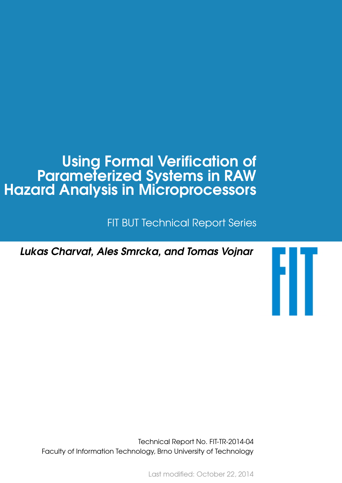# Using Formal Verification of Parameterized Systems in RAW Hazard Analysis in Microprocessors

FIT BUT Technical Report Series

FIT

Lukas Charvat, Ales Smrcka, and Tomas Vojnar

Technical Report No. FIT-TR-2014-04 Faculty of Information Technology, Brno University of Technology

Last modified: October 22, 2014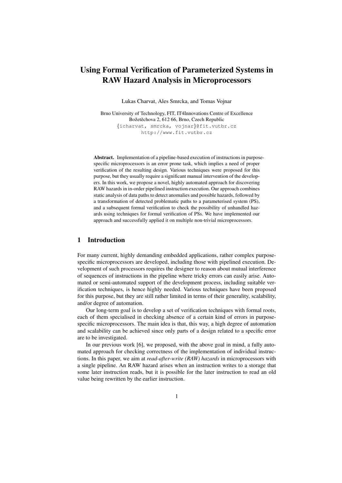# Using Formal Verification of Parameterized Systems in RAW Hazard Analysis in Microprocessors

Lukas Charvat, Ales Smrcka, and Tomas Vojnar

Brno University of Technology, FIT, IT4Innovations Centre of Excellence Božetěchova 2, 612 66, Brno, Czech Republic {icharvat, smrcka, vojnar}@fit.vutbr.cz http://www.fit.vutbr.cz

Abstract. Implementation of a pipeline-based execution of instructions in purposespecific microprocessors is an error prone task, which implies a need of proper verification of the resulting design. Various techniques were proposed for this purpose, but they usually require a significant manual intervention of the developers. In this work, we propose a novel, highly automated approach for discovering RAW hazards in in-order pipelined instruction execution. Our approach combines static analysis of data paths to detect anomalies and possible hazards, followed by a transformation of detected problematic paths to a parameterised system (PS), and a subsequent formal verification to check the possibility of unhandled hazards using techniques for formal verification of PSs. We have implemented our approach and successfully applied it on multiple non-trivial microprocessors.

# 1 Introduction

For many current, highly demanding embedded applications, rather complex purposespecific microprocessors are developed, including those with pipelined execution. Development of such processors requires the designer to reason about mutual interference of sequences of instructions in the pipeline where tricky errors can easily arise. Automated or semi-automated support of the development process, including suitable verification techniques, is hence highly needed. Various techniques have been proposed for this purpose, but they are still rather limited in terms of their generality, scalability, and/or degree of automation.

Our long-term goal is to develop a set of verification techniques with formal roots, each of them specialised in checking absence of a certain kind of errors in purposespecific microprocessors. The main idea is that, this way, a high degree of automation and scalability can be achieved since only parts of a design related to a specific error are to be investigated.

In our previous work [6], we proposed, with the above goal in mind, a fully automated approach for checking correctness of the implementation of individual instructions. In this paper, we aim at *read-after-write (RAW) hazards* in microprocessors with a single pipeline. An RAW hazard arises when an instruction writes to a storage that some later instruction reads, but it is possible for the later instruction to read an old value being rewritten by the earlier instruction.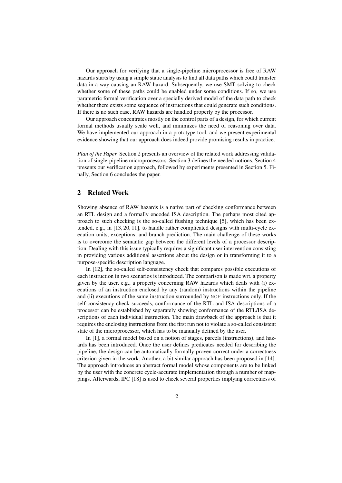Our approach for verifying that a single-pipeline microprocessor is free of RAW hazards starts by using a simple static analysis to find all data paths which could transfer data in a way causing an RAW hazard. Subsequently, we use SMT solving to check whether some of these paths could be enabled under some conditions. If so, we use parametric formal verification over a specially derived model of the data path to check whether there exists some sequence of instructions that could generate such conditions. If there is no such case, RAW hazards are handled properly by the processor.

Our approach concentrates mostly on the control parts of a design, for which current formal methods usually scale well, and minimizes the need of reasoning over data. We have implemented our approach in a prototype tool, and we present experimental evidence showing that our approach does indeed provide promising results in practice.

*Plan of the Paper* Section 2 presents an overview of the related work addressing validation of single-pipeline microprocessors. Section 3 defines the needed notions. Section 4 presents our verification approach, followed by experiments presented in Section 5. Finally, Section 6 concludes the paper.

# 2 Related Work

Showing absence of RAW hazards is a native part of checking conformance between an RTL design and a formally encoded ISA description. The perhaps most cited approach to such checking is the so-called flushing technique [5], which has been extended, e.g., in [13, 20, 11], to handle rather complicated designs with multi-cycle execution units, exceptions, and branch prediction. The main challenge of these works is to overcome the semantic gap between the different levels of a processor description. Dealing with this issue typically requires a significant user intervention consisting in providing various additional assertions about the design or in transforming it to a purpose-specific description language.

In [12], the so-called self-consistency check that compares possible executions of each instruction in two scenarios is introduced. The comparison is made wrt. a property given by the user, e.g., a property concerning RAW hazards which deals with (i) executions of an instruction enclosed by any (random) instructions within the pipeline and (ii) executions of the same instruction surrounded by NOP instructions only. If the self-consistency check succeeds, conformance of the RTL and ISA descriptions of a processor can be established by separately showing conformance of the RTL/ISA descriptions of each individual instruction. The main drawback of the approach is that it requires the enclosing instructions from the first run not to violate a so-called consistent state of the microprocessor, which has to be manually defined by the user.

In [1], a formal model based on a notion of stages, parcels (instructions), and hazards has been introduced. Once the user defines predicates needed for describing the pipeline, the design can be automatically formally proven correct under a correctness criterion given in the work. Another, a bit similar approach has been proposed in [14]. The approach introduces an abstract formal model whose components are to be linked by the user with the concrete cycle-accurate implementation through a number of mappings. Afterwards, IPC [18] is used to check several properties implying correctness of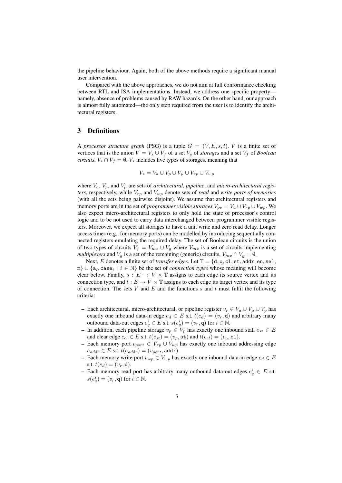the pipeline behaviour. Again, both of the above methods require a significant manual user intervention.

Compared with the above approaches, we do not aim at full conformance checking between RTL and ISA implementations. Instead, we address one specific property namely, absence of problems caused by RAW hazards. On the other hand, our approach is almost fully automated—the only step required from the user is to identify the architectural registers.

# 3 Definitions

A *processor structure graph* (PSG) is a tuple  $G = (V, E, s, t)$ . *V* is a finite set of vertices that is the union  $V = V_s \cup V_f$  of a set  $V_s$  of *storages* and a set  $V_f$  of *Boolean circuits*,  $V_s \cap V_f = \emptyset$ .  $V_s$  includes five types of storages, meaning that

$$
V_s = V_a \cup V_p \cup V_\mu \cup V_{rp} \cup V_{wp}
$$

where  $V_a$ ,  $V_p$ , and  $V_\mu$  are sets of *architectural*, *pipeline*, and *micro-architectural registers*, respectively, while  $V_{rp}$  and  $V_{wp}$  denote sets of *read* and *write ports of memories* (with all the sets being pairwise disjoint). We assume that architectural registers and memory ports are in the set of *programmer visible storages*  $V_{pv} = V_a \cup V_{rp} \cup V_{wp}$ . We also expect micro-architectural registers to only hold the state of processor's control logic and to be not used to carry data interchanged between programmer visible registers. Moreover, we expect all storages to have a unit write and zero read delay. Longer access times (e.g., for memory ports) can be modelled by introducing sequentially connected registers emulating the required delay. The set of Boolean circuits is the union of two types of circuits  $V_f = V_{mx} \cup V_g$  where  $V_{mx}$  is a set of circuits implementing *multiplexers* and  $V_g$  is a set of the remaining (generic) circuits,  $V_{mx} \cap V_g = \emptyset$ .

Next, E denotes a finite set of *transfer edges*. Let  $\mathbb{T} = \{d, q, c1, st, addr, en, sel,$  $\{\mathfrak{m}\}\cup\{\mathsf{a}_i,\text{case}_i\mid i\in\mathbb{N}\}\}$  be the set of *connection types* whose meaning will become clear below. Finally,  $s : E \to V \times \mathbb{T}$  assigns to each edge its source vertex and its connection type, and  $t : E \to V \times \mathbb{T}$  assigns to each edge its target vertex and its type of connection. The sets V and E and the functions s and t must fulfil the following criteria:

- Each architectural, micro-architectural, or pipeline register  $v_r \in V_a \cup V_\mu \cup V_p$  has exactly one inbound data-in edge  $e_d \in E$  s.t.  $t(e_d) = (v_r, d)$  and arbitrary many outbound data-out edges  $e_q^i \in E$  s.t.  $s(e_q^i) = (v_r, q)$  for  $i \in \mathbb{N}$ .
- In addition, each pipeline storage  $v_p \in V_p$  has exactly one inbound stall  $e_{st} \in E$ and clear edge  $e_{cl} \in E$  s.t.  $t(e_{st}) = (v_p, \text{st})$  and  $t(e_{cl}) = (v_p, \text{c1})$ .
- Each memory port  $v_{port} \in V_{rp} \cup V_{wp}$  has exactly one inbound addressing edge  $e_{addr} \in E$  s.t.  $t(e_{addr}) = (v_{port}, \text{addr}).$
- Each memory write port  $v_{wp} \in V_{wp}$  has exactly one inbound data-in edge  $e_d \in E$ s.t.  $t(e_d) = (v_r, d)$ .
- Each memory read port has arbitrary many outbound data-out edges  $e_q^i \in E$  s.t.  $s(e_q^i) = (v_r, \mathbf{q})$  for  $i \in \mathbb{N}$ .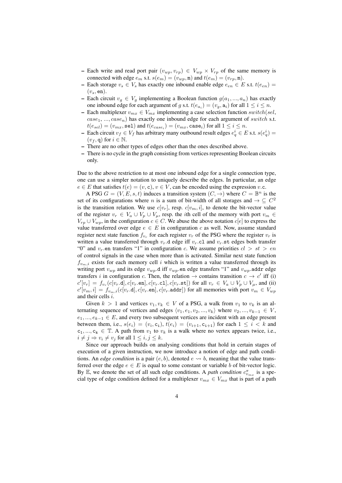- Each write and read port pair  $(v_{wp}, v_{rp}) \in V_{wp} \times V_{rp}$  of the same memory is connected with edge  $e_m$  s.t.  $s(e_m) = (v_{wp}, \mathbf{m})$  and  $t(e_m) = (v_{rp}, \mathbf{m})$ .
- Each storage  $v_s \in V_s$  has exactly one inbound enable edge  $e_{en} \in E$  s.t.  $t(e_{en}) =$  $(v<sub>s</sub>, en)$ .
- Each circuit  $v_q \in V_q$  implementing a Boolean function  $g(a_1, ..., a_n)$  has exactly one inbound edge for each argument of g s.t.  $t(e_{a_i}) = (v_g, a_i)$  for all  $1 \leq i \leq n$ .
- Each multiplexer  $v_{mx} \in V_{mx}$  implementing a case selection function switch(sel,  $case_1, ..., case_n)$  has exactly one inbound edge for each argument of switch s.t.  $t(e_{sel}) = (v_{mx}, \texttt{sel})$  and  $t(e_{case_i}) = (v_{mx}, \texttt{case}_i)$  for all  $1 \leq i \leq n.$
- Each circuit  $v_f$  ∈  $V_f$  has arbitrary many outbound result edges  $e_q^i$  ∈ E s.t.  $s(e_q^i)$  =  $(v_f, q)$  for  $i \in \mathbb{N}$ .
- There are no other types of edges other than the ones described above.
- There is no cycle in the graph consisting from vertices representing Boolean circuits only.

Due to the above restriction to at most one inbound edge for a single connection type, one can use a simpler notation to uniquely describe the edges. In particular, an edge  $e \in E$  that satisfies  $t(e) = (v, c), v \in V$ , can be encoded using the expression v.c.

A PSG  $G = (V, E, s, t)$  induces a transition system  $(C, \rightarrow)$  where  $C = \mathbb{B}^n$  is the set of its configurations where *n* is a sum of bit-width of all storages and  $\rightarrow \subseteq C^2$ is the transition relation. We use  $c[v_r]$ , resp.  $c[v_m, i]$ , to denote the bit-vector value of the register  $v_r \in V_a \cup V_p \cup V_\mu$ , resp. the *i*th cell of the memory with port  $v_m \in$  $V_{rp} \cup V_{wp}$ , in the configuration  $c \in C$ . We abuse the above notation  $c[e]$  to express the value transferred over edge  $e \in E$  in configuration c as well. Now, assume standard register next state function  $f_{v_r}$  for each register  $v_r$  of the PSG where the register  $v_r$  is written a value transferred through  $v_r$ .d edge iff  $v_r$ .cl and  $v_r$ .st edges both transfer "0" and  $v_r$  en transfers "1" in configuration c. We assume priorities  $cl > st > en$ of control signals in the case when more than is activated. Similar next state function  $f_{v_m,i}$  exists for each memory cell i which is written a value transferred through its writing port  $v_{wp}$  and its edge  $v_{wp}$ .d iff  $v_{wp}$ .en edge transfers "1" and  $v_{wp}$ .addr edge transfers *i* in configuration *c*. Then, the relation  $\rightarrow$  contains transition  $c \rightarrow c'$  iff (i)  $c'[v_r] = f_{v_r}(c[v_r.d], c[v_r.en], c[v_r.t], c[v_r.st])$  for all  $v_r \in V_a \cup V_p \cup V_\mu$ , and (ii)  $c'[v_m, i] = f_{v_m,i}(c[v_r.d], c[v_r.em], c[v_r.addr])$  for all memories with port  $v_m \in V_{wp}$ and their cells i.

Given  $k > 1$  and vertices  $v_1, v_k \in V$  of a PSG, a walk from  $v_1$  to  $v_k$  is an alternating sequence of vertices and edges  $\langle v_1, e_1, v_2, ..., v_k \rangle$  where  $v_2, ..., v_{k-1} \in V$ ,  $e_1, ..., e_{k-1} \in E$ , and every two subsequent vertices are incident with an edge present between them, i.e.,  $s(e_i) = (v_i, c_i)$ ,  $t(e_i) = (v_{i+1}, c_{i+1})$  for each  $1 \leq i < k$  and  $c_1, ..., c_k \in \mathbb{T}$ . A path from  $v_1$  to  $v_k$  is a walk where no vertex appears twice, i.e.,  $i \neq j \Rightarrow v_i \neq v_j$  for all  $1 \leq i, j \leq k$ .

Since our approach builds on analysing conditions that hold in certain stages of execution of a given instruction, we now introduce a notion of edge and path conditions. An *edge condition* is a pair  $(e, b)$ , denoted  $e \rightarrow b$ , meaning that the value transferred over the edge  $e \in E$  is equal to some constant or variable b of bit-vector logic. By E, we denote the set of all such edge conditions. A *path condition*  $c_{v_{mx}}^{\pi}$  is a special type of edge condition defined for a multiplexer  $v_{mx} \in V_{mx}$  that is part of a path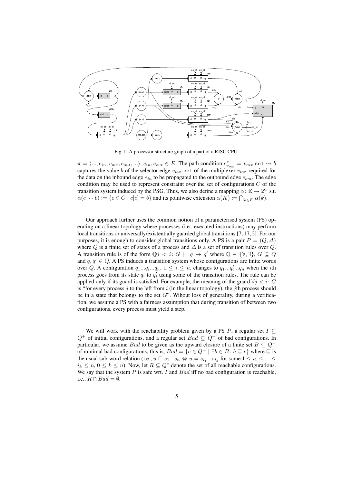

Fig. 1: A processor structure graph of a part of a RISC CPU.

 $\pi = \langle ..., e_{in}, v_{mx}, e_{out}, ... \rangle, e_{in}, e_{out} \in E$ . The path condition  $c_{v_{mx}}^{\pi} = v_{mx}$  sel  $\leadsto b$ captures the value b of the selector edge  $v_{mx}$  sel of the multiplexer  $v_{mx}$  required for the data on the inbound edge  $e_{in}$  to be propagated to the outbound edge  $e_{out}$ . The edge condition may be used to represent constraint over the set of configurations  $C$  of the transition system induced by the PSG. Thus, we also define a mapping  $\alpha$ :  $\mathbb{E} \rightarrow 2^C$  s.t.  $\alpha(e \leadsto b) := \{c \in C \mid c[e] = b\}$  and its pointwise extension  $\alpha(K) := \bigcap_{k \in K} \alpha(k)$ .

Our approach further uses the common notion of a parameterised system (PS) operating on a linear topology where processes (i.e., executed instructions) may perform local transitions or universally/existentially guarded global transitions [7, 17, 2]. For our purposes, it is enough to consider global transitions only. A PS is a pair  $P = (Q, \Delta)$ where Q is a finite set of states of a process and  $\Delta$  is a set of transition rules over Q. A transition rule is of the form  $\mathbb{Q} j < i: G \models q \rightarrow q'$  where  $\mathbb{Q} \in \{ \forall, \exists \}, G \subseteq Q$ and  $q, q' \in Q$ . A PS induces a transition system whose configurations are finite words over Q. A configuration  $q_1...q_i...q_n$ ,  $1 \leq i \leq n$ , changes to  $q_1...q_i'...q_n$  when the *i*th process goes from its state  $q_i$  to  $q'_i$  using some of the transition rules. The rule can be applied only if its guard is satisfied. For example, the meaning of the guard  $\forall j < i: G$ is "for every process  $j$  to the left from  $i$  (in the linear topology), the  $j$ th process should be in a state that belongs to the set  $G$ ". Wihout loss of generality, during a verification, we assume a PS with a fairness assumption that during transition of between two configurations, every process must yield a step.

We will work with the reachability problem given by a PS P, a regular set  $I \subseteq$  $Q^+$  of initial configurations, and a regular set  $Bad \subseteq Q^+$  of bad configurations. In particular, we assume Bad to be given as the upward closure of a finite set  $B \subseteq Q^+$ of minimal bad configurations, this is,  $Bad = \{c \in Q^+ \mid \exists b \in B : b \sqsubseteq c\}$  where  $\sqsubseteq$  is the usual sub-word relation (i.e.,  $u \sqsubseteq s_1...s_n \Leftrightarrow u = s_{i_1}...s_{i_k}$  for some  $1 \le i_1 \le ... \le n$  $i_k \leq n, 0 \leq k \leq n$ ). Now, let  $R \subseteq Q^*$  denote the set of all reachable configurations. We say that the system  $P$  is safe wrt.  $I$  and  $Bad$  iff no bad configuration is reachable, i.e.,  $R \cap Bad = \emptyset$ .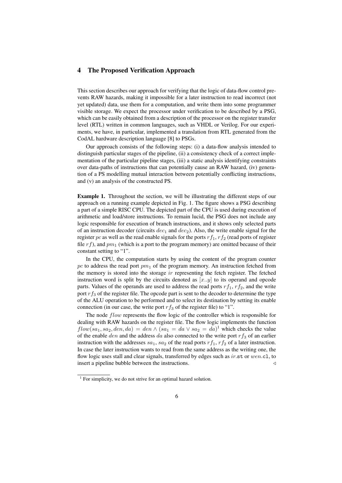# 4 The Proposed Verification Approach

This section describes our approach for verifying that the logic of data-flow control prevents RAW hazards, making it impossible for a later instruction to read incorrect (not yet updated) data, use them for a computation, and write them into some programmer visible storage. We expect the processor under verification to be described by a PSG, which can be easily obtained from a description of the processor on the register transfer level (RTL) written in common languages, such as VHDL or Verilog. For our experiments, we have, in particular, implemented a translation from RTL generated from the CodAL hardware description language [8] to PSGs.

Our approach consists of the following steps: (i) a data-flow analysis intended to distinguish particular stages of the pipeline, (ii) a consistency check of a correct implementation of the particular pipeline stages, (iii) a static analysis identifying constraints over data-paths of instructions that can potentially cause an RAW hazard, (iv) generation of a PS modelling mutual interaction between potentially conflicting instructions, and (v) an analysis of the constructed PS.

Example 1. Throughout the section, we will be illustrating the different steps of our approach on a running example depicted in Fig. 1. The figure shows a PSG describing a part of a simple RISC CPU. The depicted part of the CPU is used during execution of arithmetic and load/store instructions. To remain lucid, the PSG does not include any logic responsible for execution of branch instructions, and it shows only selected parts of an instruction decoder (circuits  $dec_1$  and  $dec_2$ ). Also, the write enable signal for the register pc as well as the read enable signals for the ports  $rf_1$ ,  $rf_2$  (read ports of register file  $rf$ ), and  $pm_1$  (which is a port to the program memory) are omitted because of their constant setting to "1".

In the CPU, the computation starts by using the content of the program counter pc to address the read port  $pm_1$  of the program memory. An instruction fetched from the memory is stored into the storage  $ir$  representing the fetch register. The fetched instruction word is split by the circuits denoted as  $[x..y]$  to its operand and opcode parts. Values of the operands are used to address the read ports  $rf_1$ ,  $rf_2$ , and the write port  $rf_3$  of the register file. The opcode part is sent to the decoder to determine the type of the ALU operation to be performed and to select its destination by setting its enable connection (in our case, the write port  $rf_3$  of the register file) to "1".

The node *flow* represents the flow logic of the controller which is responsible for dealing with RAW hazards on the register file. The flow logic implements the function  $flow(sa_1, sa_2, den, da) = den \wedge (sa_1 = da \vee sa_2 = da)^{1}$  which checks the value of the enable den and the address da also connected to the write port  $rf_3$  of an earlier instruction with the addresses  $sa_1$ ,  $sa_2$  of the read ports  $rf_1$ ,  $rf_2$  of a later instruction. In case the later instruction wants to read from the same address as the writing one, the flow logic uses stall and clear signals, transferred by edges such as  $ir$ .st or wen.cl, to insert a pipeline bubble between the instructions.  $\triangleleft$ 

<sup>&</sup>lt;sup>1</sup> For simplicity, we do not strive for an optimal hazard solution.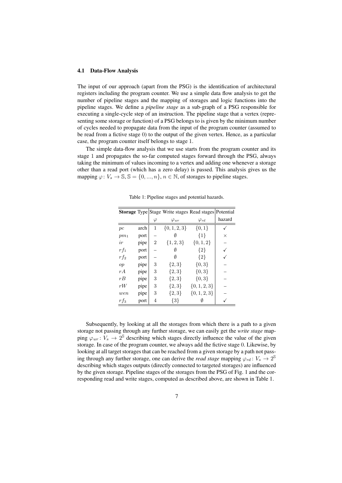#### 4.1 Data-Flow Analysis

The input of our approach (apart from the PSG) is the identification of architectural registers including the program counter. We use a simple data flow analysis to get the number of pipeline stages and the mapping of storages and logic functions into the pipeline stages. We define a *pipeline stage* as a sub-graph of a PSG responsible for executing a single-cycle step of an instruction. The pipeline stage that a vertex (representing some storage or function) of a PSG belongs to is given by the minimum number of cycles needed to propagate data from the input of the program counter (assumed to be read from a fictive stage 0) to the output of the given vertex. Hence, as a particular case, the program counter itself belongs to stage 1.

The simple data-flow analysis that we use starts from the program counter and its stage 1 and propagates the so-far computed stages forward through the PSG, always taking the minimum of values incoming to a vertex and adding one whenever a storage other than a read port (which has a zero delay) is passed. This analysis gives us the mapping  $\varphi: V_s \to \mathbb{S}, \mathbb{S} = \{0, ..., n\}, n \in \mathbb{N}$ , of storages to pipeline stages.

|        |      |           | <b>Storage</b> Type Stage Write stages Read stages Potential |                  |          |
|--------|------|-----------|--------------------------------------------------------------|------------------|----------|
|        |      | $\varphi$ | $\varphi_{wr}$                                               | $\varphi_{rd}$   | hazard   |
| pc     | arch | 1         | $\{0, 1, 2, 3\}$                                             | $\{0,1\}$        |          |
| $pm_1$ | port |           |                                                              | ${1}$            | $\times$ |
| ir     | pipe | 2         | $\{1, 2, 3\}$                                                | $\{0,1,2\}$      |          |
| $rf_1$ | port |           |                                                              | ${2}$            |          |
| $rf_2$ | port |           | Ø                                                            | ${2}$            |          |
| op     | pipe | 3         | ${2,3}$                                                      | $\{0,3\}$        |          |
| rA     | pipe | 3         | $\{2,3\}$                                                    | $\{0,3\}$        |          |
| rB     | pipe | 3         | ${2,3}$                                                      | ${0,3}$          |          |
| rW     | pipe | 3         | $\{2,3\}$                                                    | $\{0, 1, 2, 3\}$ |          |
| wen    | pipe | 3         | $\{2,3\}$                                                    | $\{0, 1, 2, 3\}$ |          |
| $rf_3$ | port | 4         | ${3}$                                                        |                  |          |

Table 1: Pipeline stages and potential hazards.

Subsequently, by looking at all the storages from which there is a path to a given storage not passing through any further storage, we can easily get the *write stage* mapping  $\varphi_{wr}$ :  $V_s \to 2^{\mathcal{S}}$  describing which stages directly influence the value of the given storage. In case of the program counter, we always add the fictive stage 0. Likewise, by looking at all target storages that can be reached from a given storage by a path not passing through any further storage, one can derive the *read stage* mapping  $\varphi_{rd} : V_s \to 2^{\mathbb{S}}$ describing which stages outputs (directly connected to targeted storages) are influenced by the given storage. Pipeline stages of the storages from the PSG of Fig. 1 and the corresponding read and write stages, computed as described above, are shown in Table 1.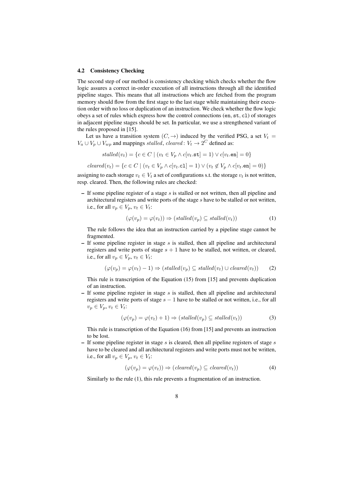#### 4.2 Consistency Checking

The second step of our method is consistency checking which checks whether the flow logic assures a correct in-order execution of all instructions through all the identified pipeline stages. This means that all instructions which are fetched from the program memory should flow from the first stage to the last stage while maintaining their execution order with no loss or duplication of an instruction. We check whether the flow logic obeys a set of rules which express how the control connections (en, st, cl) of storages in adjacent pipeline stages should be set. In particular, we use a strengthened variant of the rules proposed in [15].

Let us have a transition system  $(C, \rightarrow)$  induced by the verified PSG, a set  $V_t$  $V_a \cup V_p \cup V_{wp}$  and mappings stalled, cleared:  $V_t \rightarrow 2^C$  defined as:

$$
stalled(v_t) = \{c \in C \mid (v_t \in V_p \land c[v_t.\mathtt{st}] = 1) \lor c[v_t.\mathtt{en}] = 0\}
$$

$$
cleared(v_t) = \{c \in C \mid (v_t \in V_p \land c[v_t, c_1] = 1) \lor (v_t \notin V_p \land c[v_t, en] = 0)\}
$$

assigning to each storage  $v_t \in V_t$  a set of configurations s.t. the storage  $v_t$  is not written, resp. cleared. Then, the following rules are checked:

– If some pipeline register of a stage s is stalled or not written, then all pipeline and architectural registers and write ports of the stage s have to be stalled or not written, i.e., for all  $v_p \in V_p$ ,  $v_t \in V_t$ :

$$
(\varphi(v_p) = \varphi(v_t)) \Rightarrow (stalled(v_p) \subseteq stalled(v_t))
$$
\n<sup>(1)</sup>

The rule follows the idea that an instruction carried by a pipeline stage cannot be fragmented.

– If some pipeline register in stage  $s$  is stalled, then all pipeline and architectural registers and write ports of stage  $s + 1$  have to be stalled, not written, or cleared, i.e., for all  $v_p \in V_p$ ,  $v_t \in V_t$ :

$$
(\varphi(v_p) = \varphi(v_t) - 1) \Rightarrow (stalled(v_p) \subseteq stalled(v_t) \cup cleared(v_t))
$$
 (2)

This rule is transcription of the Equation (15) from [15] and prevents duplication of an instruction.

 $-$  If some pipeline register in stage s is stalled, then all pipeline and architectural registers and write ports of stage  $s - 1$  have to be stalled or not written, i.e., for all  $v_p \in V_p, v_t \in V_t$ :

$$
(\varphi(v_p) = \varphi(v_t) + 1) \Rightarrow (stalled(v_p) \subseteq stalled(v_t))
$$
\n(3)

This rule is transcription of the Equation (16) from [15] and prevents an instruction to be lost.

 $-$  If some pipeline register in stage s is cleared, then all pipeline registers of stage s have to be cleared and all architectural registers and write ports must not be written, i.e., for all  $v_p \in V_p$ ,  $v_t \in V_t$ :

$$
(\varphi(v_p) = \varphi(v_t)) \Rightarrow (cleared(v_p) \subseteq cleared(v_t))
$$
\n(4)

Similarly to the rule (1), this rule prevents a fragmentation of an instruction.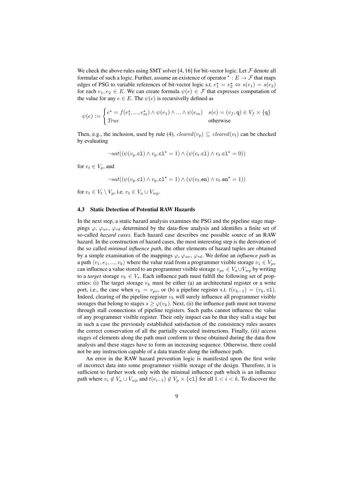We check the above rules using SMT solver [4, 16] for bit-vector logic. Let  $\mathcal F$  denote all formulae of such a logic. Further, assume an existence of operator  $* : E \to \mathcal{F}$  that maps edges of PSG to variable references of bit-vector logic s.t.  $e_1^* = e_2^* \Leftrightarrow s(e_1) = s(e_2)$ for each  $e_1, e_2 \in E$ . We can create formula  $\psi(e) \in \mathcal{F}$  that expresses computation of the value for any  $e \in E$ . The  $\psi(e)$  is recursivelly defined as

$$
\psi(e) := \begin{cases} e^{\star} = f(e_1^{\star}, ..., e_m^{\star}) \wedge \psi(e_1) \wedge ... \wedge \psi(e_m) & s(e) = (v_f, \mathbf{q}) \in V_f \times \{\mathbf{q}\} \\ \text{True} & \text{otherwise} \end{cases}
$$

Then, e.g., the inclusion, used by rule (4),  $cleaned(v_p) \subseteq cleared(v_t)$  can be checked by evaluating

$$
\neg sat((\psi(v_p.c1) \land v_p.c1^* = 1) \land (\psi(v_t.c1) \land v_t.c1^* = 0))
$$

for  $v_t \in V_p$ , and

$$
\neg sat((\psi(v_p.c1) \land v_p.c1^* = 1) \land (\psi(v_t.en) \land v_t.en^* = 1))
$$

for  $v_t \in V_t \setminus V_n$ , i.e.  $v_t \in V_a \cup V_{wn}$ .

#### 4.3 Static Detection of Potential RAW Hazards

In the next step, a static hazard analysis examines the PSG and the pipeline stage mappings  $\varphi$ ,  $\varphi_{wr}$ ,  $\varphi_{rd}$  determined by the data-flow analysis and identifies a finite set of so-called *hazard cases*. Each hazard case describes one possible source of an RAW hazard. In the construction of hazard cases, the most interesting step is the derivation of the so called *minimal influence path*, the other elements of hazard tuples are obtained by a simple examination of the mappings  $\varphi$ ,  $\varphi_{wr}$ ,  $\varphi_{rd}$ . We define an *influence path* as a path  $\langle v_1, e_1, ..., v_k \rangle$  where the value read from a programmer visible storage  $v_1 \in V_{nv_1}$ can influence a value stored to an programmer visible storage  $v_{pv} \in V_a \cup V_{wp}$  by writing to a *target* storage  $v_k \in V_s$ . Each influence path must fulfill the following set of properties: (i) The target storage  $v_k$  must be either (a) an architectural register or a write port, i.e., the case when  $v_k = v_{pv}$ , or (b) a pipeline register s.t.  $t(e_{k-1}) = (v_k, c_1)$ . Indeed, clearing of the pipeline register  $v_k$  will surely influence all programmer visible storages that belong to stages  $s \geq \varphi(v_k)$ . Next, (ii) the influence path must not traverse through stall connections of pipeline registers. Such paths cannot influence the value of any programmer visible register. Their only impact can be that they stall a stage but in such a case the previously established satisfaction of the consistency rules assures the correct conservation of all the partially executed instructions. Finally, (iii) access stages of elements along the path must conform to those obtained during the data-flow analysis and these stages have to form an increasing sequence. Otherwise, there could not be any instruction capable of a data transfer along the influence path.

An error in the RAW hazard prevention logic is manifested upon the first write of incorrect data into some programmer visible storage of the design. Therefore, it is sufficient to further work only with the minimal influence path which is an influence path where  $v_i \notin V_a \cup V_{wp}$  and  $t(e_{i-1}) \notin V_p \times \{\text{cl}\}\)$  for all  $1 \leq i \leq k$ . To discover the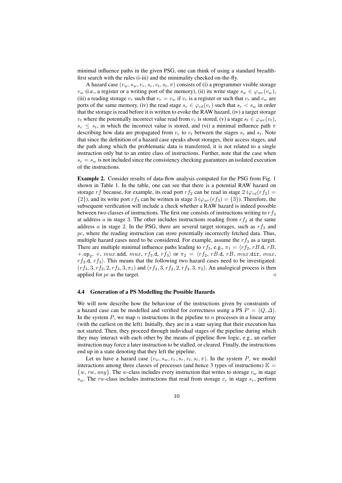minimal influence paths in the given PSG, one can think of using a standard breadthfirst search with the rules (i-iii) and the minimality checked on-the-fly.

A hazard case  $(v_w, s_w, v_r, s_r, v_t, s_t, \pi)$  consists of (i) a programmer visible storage  $v_w$  (i.e., a register or a writing port of the memory), (ii) its write stage  $s_w \in \varphi_{wr}(v_w)$ , (iii) a reading storage  $v_r$  such that  $v_r = v_w$  if  $v_r$  is a register or such that  $v_r$  and  $v_w$  are ports of the same memory, (iv) the read stage  $s_r \in \varphi_{rd}(v_r)$  such that  $s_r < s_w$  in order that the storage is read before it is written to evoke the RAW hazard, (iv) a target storage  $v_t$  where the potentially incorrect value read from  $v_r$  is stored, (v) a stage  $s_t \in \varphi_{wr}(v_t)$ ,  $s_r \leq s_t$ , in which the incorrect value is stored, and (vi) a minimal influence path  $\pi$ describing how data are propagated from  $v_r$  to  $v_t$  between the stages  $s_r$  and  $s_t$ . Note that since the definition of a hazard case speaks about storages, their access stages, and the path along which the problematic data is transferred, it is not related to a single instruction only but to an entire class of instructions. Further, note that the case when  $s_r = s_w$  is not included since the consistency checking guarantees an isolated execution of the instructions.

Example 2. Consider results of data-flow analysis computed for the PSG from Fig. 1 shown in Table 1. In the table, one can see that there is a potential RAW hazard on storage r f because, for example, its read port r f<sub>2</sub> can be read in stage 2 ( $\varphi_{rd}(r f_2)$ ) =  $\{2\}$ , and its write port r  $f_3$  can be written in stage 3 ( $\varphi_{wr}(rf_3) = \{3\}$ ). Therefore, the subsequent verification will include a check whether a RAW hazard is indeed possible between two classes of instructions. The first one consists of instructions writing to  $rf_3$ at address  $a$  in stage 3. The other includes instructions reading from  $rf_2$  at the same address a in stage 2. In the PSG, there are several target storages, such as  $rf_3$  and  $pc$ , where the reading instruction can store potentially incorrectly fetched data. Thus, multiple hazard cases need to be considered. For example, assume the  $rf_3$  as a target. There are multiple minimal influence paths leading to  $rf_3$ , e.g.,  $\pi_1 = \langle rf_2, rB.d, rB,$  $+.\texttt{op}_2$ ,  $+$ ,  $mu x.\texttt{add}, \, mu x, \, rf_3.d, \, rf_3\rangle$  or  $\pi_2 \,=\, \langle rf_2, \, rB.d, \, rB, \, mu x. \texttt{dir}, \, mu x,$  $rf_3$ .d,  $rf_3$ ). This means that the following two hazard cases need to be investigated:  $(rf_3, 3, rf_2, 2, rf_3, 3, \pi_1)$  and  $(rf_3, 3, rf_2, 2, rf_3, 3, \pi_2)$ . An analogical process is then applied for  $pc$  as the target.

#### 4.4 Generation of a PS Modelling the Possible Hazards

We will now describe how the behaviour of the instructions given by constraints of a hazard case can be modelled and verified for correctness using a PS  $P = (Q, \Delta)$ . In the system  $P$ , we map n instructions in the pipeline to  $n$  processes in a linear array (with the earliest on the left). Initially, they are in a state saying that their execution has not started. Then, they proceed through individual stages of the pipeline during which they may interact with each other by the means of pipeline flow logic, e.g., an earlier instruction may force a later instruction to be stalled, or cleared. Finally, the instructions end up in a state denoting that they left the pipeline.

Let us have a hazard case  $(v_w, s_w, v_r, s_r, v_t, s_t, \pi)$ . In the system P, we model interactions among three classes of processes (and hence 3 types of instructions)  $\mathbb{K} =$  $\{w, rw, any\}$ . The w-class includes every instruction that writes to storage  $v_w$  in stage  $s_w$ . The rw-class includes instructions that read from storage  $v_r$  in stage  $s_r$ , perform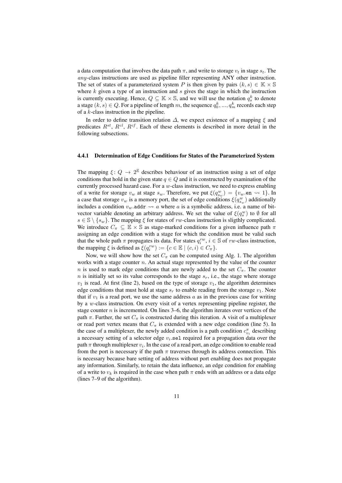a data computation that involves the data path  $\pi$ , and write to storage  $v_t$  in stage  $s_t$ . The any-class instructions are used as pipeline filler representing ANY other instruction. The set of states of a parameterized system P is then given by pairs  $(k, s) \in \mathbb{K} \times \mathbb{S}$ where  $k$  given a type of an instruction and  $s$  gives the stage in which the instruction is currently executing. Hence,  $Q \subseteq \mathbb{K} \times \mathbb{S}$ , and we will use the notation  $q_s^k$  to denote a stage  $(k,s)\in Q.$  For a pipeline of length  $m,$  the sequence  $q_0^k,...,q_m^k$  records each step of a k-class instruction in the pipeline.

In order to define transition relation  $\Delta$ , we expect existence of a mapping  $\xi$  and predicates  $R^{st}$ ,  $R^{cl}$ ,  $R^{cf}$ . Each of these elements is described in more detail in the following subsections.

#### 4.4.1 Determination of Edge Conditions for States of the Parameterized System

The mapping  $\xi: Q \to 2^{\mathbb{E}}$  describes behaviour of an instruction using a set of edge conditions that hold in the given state  $q \in Q$  and it is constructed by examination of the currently processed hazard case. For a  $w$ -class instruction, we need to express enabling of a write for storage  $v_w$  at stage  $s_w$ . Therefore, we put  $\xi(q_{s_w}^w) = \{v_w \text{.en } \leadsto 1\}$ . In a case that storage  $v_w$  is a memory port, the set of edge conditions  $\xi(q_{s_w}^w)$  additionally includes a condition  $v_w$  addr  $\leadsto a$  where a is a symbolic address, i.e. a name of bitvector variable denoting an arbitrary address. We set the value of  $\xi(q_s^w)$  to  $\emptyset$  for all  $s \in \mathbb{S} \setminus \{s_w\}$ . The mapping  $\xi$  for states of rw-class instruction is sligthly complicated. We introduce  $C_{\pi} \subseteq \mathbb{E} \times \mathbb{S}$  as stage-marked conditions for a given influence path  $\pi$ assigning an edge condition with a stage for which the condition must be valid such that the whole path  $\pi$  propagates its data. For states  $q_i^{rw}$ ,  $i \in \mathbb{S}$  of rw-class instruction, the mapping  $\xi$  is defined as  $\xi(q_i^{rw}) := \{c \in \mathbb{E} \mid (c, i) \in C_\pi\}.$ 

Now, we will show how the set  $C_{\pi}$  can be computed using Alg. 1. The algorithm works with a stage counter  $n$ . An actual stage represented by the value of the counter n is used to mark edge conditions that are newly added to the set  $C_{\pi}$ . The counter  $n$  is initially set so its value corresponds to the stage  $s_r$ , i.e., the stage where storage  $v_1$  is read. At first (line 2), based on the type of storage  $v_1$ , the algorithm determines edge conditions that must hold at stage  $s_r$  to enable reading from the storage  $v_1$ . Note that if  $v_1$  is a read port, we use the same address a as in the previous case for writing by a w-class instruction. On every visit of a vertex representing pipeline register, the stage counter  $n$  is incremented. On lines 3–6, the algorithm iterates over vertices of the path  $\pi$ . Further, the set  $C_{\pi}$  is constructed during this iteration. A visit of a multiplexer or read port vertex means that  $C_{\pi}$  is extended with a new edge condition (line 5). In the case of a multiplexer, the newly added condition is a path condition  $c_{v_i}^{\pi}$  describing a necessary setting of a selector edge  $v_i$  sel required for a propagation data over the path  $\pi$  through multiplexer  $v_i.$  In the case of a read port, an edge condition to enable read from the port is necessary if the path  $\pi$  traverses through its address connection. This is necessary because bare setting of address without port enabling does not propagate any information. Similarly, to retain the data influence, an edge condition for enabling of a write to  $v_k$  is required in the case when path  $\pi$  ends with an address or a data edge (lines 7–9 of the algorithm).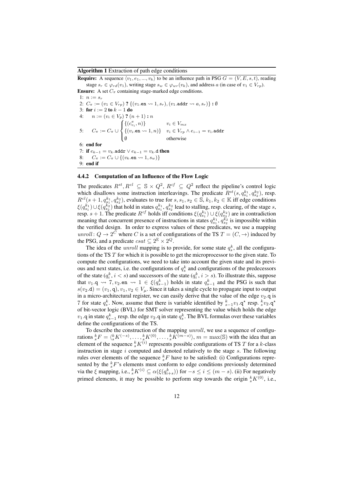#### Algorithm 1 Extraction of path edge conditions

**Require:** A sequence  $\langle v_1, e_1, ..., v_k \rangle$  to be an influence path in PSG  $G = (V, E, s, t)$ , reading stage  $s_r \in \varphi_{rd}(v_1)$ , writing stage  $s_w \in \varphi_{wr}(v_k)$ , and address a (in case of  $v_1 \in V_{rp}$ ). **Ensure:** A set  $C_{\pi}$  containing stage-marked edge conditions. 1:  $n := s_r$ 2:  $C_{\pi} := (v_1 \in V_{rp})$  ?  $\{(v_1.\text{en} \leadsto 1, s_r), (v_1.\text{addr} \leadsto a, s_r)\}\cdot \emptyset$ 3: for  $i := 2$  to  $k - 1$  do  $n := (v_i \in V_p)$  ?  $(n+1) : n$ 5:  $C_{\pi} := C_{\pi} \cup$  $\sqrt{ }$  $\int$  $\overline{\mathcal{L}}$  $\{(c_{v_i}^{\pi}, n)\}\$   $v_i \in V_{mx}$  $\{(v_i.\texttt{en} \leadsto 1, n)\}$   $v_i \in V_{rp} \land e_{i-1} = v_i.\texttt{addr}$ ∅ otherwise 6: end for 7: if  $e_{k-1} = v_k$ .addr  $\vee e_{k-1} = v_k$ .d then 8:  $C_{\pi} := C_{\pi} \cup \{(v_k.\texttt{en} \rightarrow 1, s_w)\}$ 9: end if

#### 4.4.2 Computation of an Influence of the Flow Logic

The predicates  $R^{st}, R^{cl} \subseteq \mathbb{S} \times Q^2$ ,  $R^{cf} \subseteq Q^2$  reflect the pipeline's control logic which disallows some instruction interleavings. The predicate  $R^{st}(s, q_{s_1}^{k_1}, q_{s_2}^{k_2})$ , resp.  $R^{cl}(s+1, q^{k_1}_{s_1}, q^{k_2}_{s_2})$ , evaluates to true for  $s, s_1, s_2 \in \mathbb{S}$ ,  $k_1, k_2 \in \mathbb{K}$  iff edge conditions  $\xi(q_{s_1}^{k_1}) \cup \xi(q_{s_2}^{k_2})$  that hold in states  $q_{s_1}^{k_1}, q_{s_2}^{k_2}$  lead to stalling, resp. clearing, of the stage s, resp.  $s + 1$ . The predicate  $R^{cf}$  holds iff conditions  $\xi(q_{s_1}^{k_1}) \cup \xi(q_{s_2}^{k_2})$  are in contradiction meaning that concurrent presence of instructions in states  $q_{s_1}^{k_1}, q_{s_2}^{k_2}$  is impossible within the verified design. In order to express values of these predicates, we use a mapping *unroll* :  $Q \rightarrow 2^C$  where C is a set of configurations of the TS  $T = (C, \rightarrow)$  induced by the PSG, and a predicate  $csat \subseteq 2^{\mathbb{E}} \times 2^Q$ .

The idea of the *unroll* mapping is to provide, for some state  $q_s^k$ , all the configurations of the TS T for which it is possible to get the microprocessor to the given state. To compute the configurations, we need to take into account the given state and its previous and next states, i.e. the configurations of  $q_s^k$  and configurations of the predecessors of the state  $(q_i^k, i < s)$  and successors of the state  $(q_i^k, i > s)$ . To illustrate this, suppose that  $v_1 \neq v_1 \rightarrow v_2$  and  $v_3 \rightarrow v_3$  and the PSG is such that  $s(v_2.d) = (v_1, q), v_1, v_2 \in V_\mu$ . Since it takes a single cycle to propagate input to output in a micro-architectural register, we can easily derive that the value of the edge  $v_2$  q is 7 for state  $q_s^k$ . Now, assume that there is variable identified by  $s_{s-1}^k v_1 \cdot q^*$  resp.  $s_k^k v_2 \cdot q^*$ of bit-vector logic (BVL) for SMT solver representing the value which holds the edge  $v_1$ .q in state  $q_{s-1}^k$  resp. the edge  $v_2$ .q in state  $q_s^k$ . The BVL formulas over these variables define the configurations of the TS.

To describe the construction of the mapping unroll, we use a sequence of configurations  ${}_s^k F = \langle {}_s^k K^{(-s)}, \ldots, {}_s^k K^{(0)}, \ldots, {}_s^k K^{(m-s)} \rangle$ ,  $m = \max(\mathbb{S})$  with the idea that an element of the sequence  ${}^k_sK^{(i)}$  represents possible configurations of TS T for a k-class instruction in stage  $i$  computed and denoted relatively to the stage  $s$ . The following rules over elements of the sequence  ${}_{s}^{k}F$  have to be satisfied: (i) Configurations represented by the  ${}_{s}^{k}F$ 's elements must conform to edge conditions previously determined via the  $\xi$  mapping, i.e.,  ${}^k_s K^{(i)} \subseteq \alpha(\xi(q^k_{i+s}))$  for  $-s \le i \le (m-s)$ . (ii) For negatively primed elements, it may be possible to perform step towards the origin  ${}^k_sK^{(0)}$ , i.e.,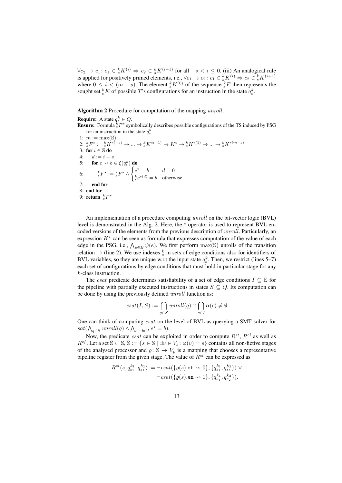$\forall c_2 \to c_1 : c_1 \in {}^k_s K^{(i)} \Rightarrow c_2 \in {}^k_s K^{(i-1)}$  for all  $-s < i \leq 0$ . (iii) An analogical rule is applied for positively primed elements, i.e.,  $\forall c_1 \to c_2 \colon c_1 \in \frac{k}{s} K^{(i)} \Rightarrow c_2 \in \frac{k}{s} K^{(i+1)}$ where  $0 \le i < (m - s)$ . The element  ${}^k_s K^{(0)}$  of the sequence  ${}^k_s F$  then represents the sought set  ${}^k_sK$  of possible T's configurations for an instruction in the state  $q_s^k$ .

#### Algorithm 2 Procedure for computation of the mapping *unroll*.

**Require:** A state  $q_s^k \in Q$ . **Ensure:** Formula  ${}_{s}^{k}F^{\star}$  symbolically describes possible configurations of the TS induced by PSG for an instruction in the state  $q_s^k$ . 1:  $m := \max(\mathbb{S})$ 2:  ${}_{s}^{k}F^{\star} := {}_{s}^{k}K^{\star(-s)} \to \dots \to {}_{s}^{k}K^{\star(-1)} \to K^{\star} \to {}_{s}^{k}K^{\star(1)} \to \dots \to {}_{s}^{k}K^{\star(m-s)}$ 3: for  $i \in \mathbb{S}$  do 4:  $d := i - s$ 5: for  $e \leadsto b \in \xi(q_i^k)$  do 6:  $k_F^* := k_F^* \wedge \begin{cases} e^* = b & d = 0 \\ k_{F^*}(d) & d = 0 \end{cases}$  $e^{k}e^{*(d)} = b$  otherwise 7: end for 8: end for 9: **return**  ${}_s^k F^*$ 

An implementation of a procedure computing unroll on the bit-vector logic (BVL) level is demonstrated in the Alg. 2. Here, the  $*$  operator is used to represent BVL encoded versions of the elements from the previous description of *unroll*. Particularly, an expression  $K^*$  can be seen as formula that expresses computation of the value of each edge in the PSG, i.e.,  $\bigwedge_{e \in E} \psi(e)$ . We first perform  $\max(\mathbb{S})$  unrolls of the transition relation  $\rightarrow$  (line 2). We use indexes  $\frac{k}{s}$  in sets of edge conditions also for identifiers of BVL variables, so they are unique w.r.t the input state  $q_s^k$ . Then, we restrict (lines 5–7) each set of configurations by edge conditions that must hold in particular stage for any k-class instruction.

The *csat* predicate determines satisfiability of a set of edge conditions  $I \subseteq \mathbb{E}$  for the pipeline with partially executed instructions in states  $S \subseteq Q$ . Its computation can be done by using the previously defined *unroll* function as:

$$
csat(I, S) := \bigcap_{q \in S} unroll(q) \cap \bigcap_{c \in I} \alpha(c) \neq \emptyset
$$

One can think of computing csat on the level of BVL as querying a SMT solver for  $sat(\bigwedge_{q\in S}unroll(q) \wedge \bigwedge_{e\leadsto b\in I}e^{\star}=b).$ 

Now, the predicate *csat* can be exploited in order to compute  $R^{st}$ ,  $R^{cl}$  as well as  $R^{cf}$ . Let a set  $\bar{S} \subset S$ ,  $\bar{S} := \{s \in S \mid \exists v \in V_s : \varphi(v) = s\}$  contains all non-fictive stages of the analysed processor and  $\rho: \dot{\bar{S}} \to V_p$  is a mapping that chooses a representative pipeline register from the given stage. The value of  $R^{st}$  can be expressed as

$$
R^{st}(s, q_{s_1}^{k_1}, q_{s_2}^{k_2}) := -csat(\{ \varrho(s). \text{st} \leadsto 0 \}, \{ q_{s_1}^{k_1}, q_{s_2}^{k_2} \}) \vee -csat(\{ \varrho(s). \text{en} \leadsto 1 \}, \{ q_{s_1}^{k_1}, q_{s_2}^{k_2} \}).
$$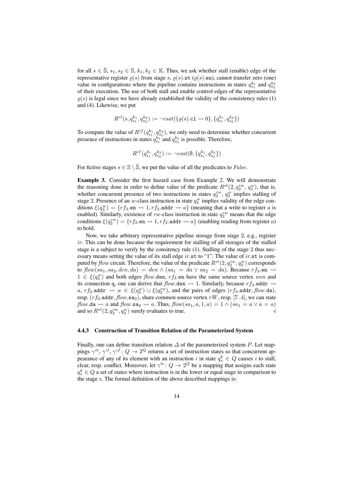for all  $s \in \overline{S}$ ,  $s_1, s_2 \in \mathbb{S}$ ,  $k_1, k_2 \in \mathbb{K}$ . Thus, we ask whether stall (enable) edge of the representative register  $\varrho(s)$  from stage s,  $\varrho(s)$ .st ( $\varrho(s)$ .en), cannot transfer zero (one) value in configurations where the pipeline contains instructions in states  $q_{s_1}^{k_1}$  and  $q_{s_2}^{k_2}$ of their execution. The use of both stall and enable control edges of the representative  $\rho(s)$  is legal since we have already established the validity of the consistency rules (1) and (4). Likewise, we put

$$
R^{cl}(s, q_{s_1}^{k_1}, q_{s_2}^{k_2}) := \neg csat(\lbrace \varrho(s). \mathtt{cl} \leadsto 0 \rbrace, \lbrace q_{s_1}^{k_1}, q_{s_2}^{k_2} \rbrace)
$$

To compute the value of  $R^{cf}(q_{s_1}^{k_1}, q_{s_2}^{k_2})$ , we only need to determine whether concurrent presence of instructions in states  $q_{s_1}^{k_1}$  and  $q_{s_2}^{k_2}$  is possible. Therefore,

$$
R^{cf}(q_{s_1}^{k_1}, q_{s_2}^{k_2}) := \neg csat(\emptyset, \{q_{s_1}^{k_1}, q_{s_2}^{k_2}\})
$$

For fictive stages  $s \in \mathbb{S} \setminus \overline{\mathbb{S}}$ , we put the value of all the predicates to *False*.

Example 3. Consider the first hazard case from Example 2. We will demonstrate the reasoning done in order to define value of the predicate  $R^{st}(2, q_2^{rw}, q_3^{w})$ , that is, whether concurrent presence of two instructions in states  $q_2^{rw}$ ,  $q_3^{w}$  implies stalling of stage 2. Presence of an w-class instruction in state  $q_3^w$  implies validity of the edge conditions  $\xi(q_3^w) = \{rf_3$  en  $\leadsto 1, rf_3$  addr  $\leadsto a\}$  (meaning that a write to register a is enabled). Similarly, existence of *rw*-class instruction in state  $q_2^{rw}$  means that the edge conditions  $\xi(q_2^{rw}) = \{rf_2$ .en  $\leadsto 1, rf_2$ .addr  $\leadsto a\}$  (enabling reading from register a) to hold.

Now, we take arbitrary representative pipeline storage from stage 2, e.g., register  $ir.$  This can be done because the requirement for stalling of all storages of the stalled stage is a subject to verify by the consitency rule (1). Stalling of the stage 2 thus necessary means setting the value of its stall edge ir.st to "1". The value of ir.st is computed by  $flow$  circuit. Therefore, the value of the predicate  $R^{st}(2,q_2^{rw},q_3^{w})$  corresponds to  $flow(sa_1, sa_2, den, da) = den \wedge (sa_1 = da \vee sa_2 = da)$ . Because  $rf_3$ . en  $\rightsquigarrow$  $1 \in \xi(q_3^w)$  and both edges flow.den, rf<sub>3</sub>.en have the same source vertex wen and its connection q, one can derive that  $flow$  den  $\rightsquigarrow$  1. Similarly, because  $rf_3$  addr  $\rightsquigarrow$ a,  $rf_2$  addr  $\leadsto a \in \xi(q_3^w) \cup \xi(q_2^{rw})$ , and the pairs of edges  $(rf_3$  addr, flow da), resp.  $(rf_2.\texttt{addr}, flow.\texttt{sa}_2)$ , share common source vertex  $rW$ , resp. [7..4], we can state flow.da  $\rightsquigarrow a$  and flow.sa<sub>2</sub>  $\rightsquigarrow a$ . Thus, flow $(sa_1, a, 1, a) = 1 \wedge (sa_1 = a \vee a = a)$ and so  $R^{st}(2, q_2^{rw}, q_3^{w})$  surely evaluates to true.

#### 4.4.3 Construction of Transition Relation of the Parameterized System

Finally, one can define transition relation  $\Delta$  of the parameterized system P. Let mappings  $\gamma^{st}$ ,  $\gamma^{cl}$ ,  $\gamma^{cf}$  :  $Q \to 2^Q$  returns a set of instruction states so that concurrent appearance of any of its element with an instruction i in state  $q_s^k \in Q$  causes i to stall, clear, resp. conflict. Moreover, let  $\gamma^{le}$  :  $Q \to 2^Q$  be a mapping that assigns each state  $q_s^k \in Q$  a set of states where instruction is in the lower or equal stage in comparison to the stage s. The formal definition of the above described mappings is: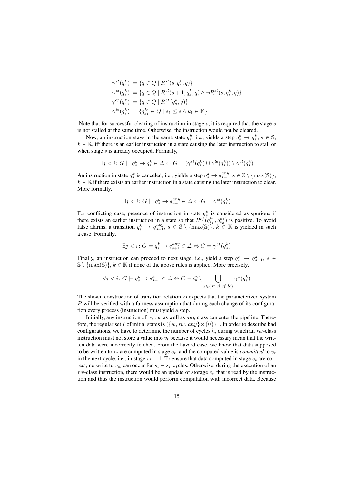$$
\gamma^{st}(q_s^k) := \{ q \in Q \mid R^{st}(s, q_s^k, q) \}
$$
  
\n
$$
\gamma^{cl}(q_s^k) := \{ q \in Q \mid R^{cl}(s+1, q_s^k, q) \land \neg R^{st}(s, q_s^k, q) \}
$$
  
\n
$$
\gamma^{cf}(q_s^k) := \{ q \in Q \mid R^{cf}(q_s^k, q) \}
$$
  
\n
$$
\gamma^{le}(q_s^k) := \{ q_{s_1}^{k_1} \in Q \mid s_1 \le s \land k_1 \in \mathbb{K} \}
$$

Note that for successful clearing of instruction in stage  $s$ , it is required that the stage  $s$ is not stalled at the same time. Otherwise, the instruction would not be cleared.

Now, an instruction stays in the same state  $q_s^k$ , i.e., yields a step  $q_s^k \rightarrow q_s^k$ ,  $s \in \mathbb{S}$ ,  $k \in \mathbb{K}$ , iff there is an earlier instruction in a state causing the later instruction to stall or when stage s is already occupied. Formally,

$$
\exists j < i : G \models q_s^k \to q_s^k \in \Delta \Leftrightarrow G = (\gamma^{st}(q_s^k) \cup \gamma^{le}(q_s^k)) \setminus \gamma^{cl}(q_s^k)
$$

An instruction in state  $q_s^k$  is canceled, i.e., yields a step  $q_s^k \to q_{s+1}^{any}, s \in \mathbb{S} \setminus \{\max(\mathbb{S})\},$  $k \in \mathbb{K}$  if there exists an earlier instruction in a state causing the later instruction to clear. More formally,

$$
\exists j
$$

For conflicting case, presence of instruction in state  $q_s^k$  is considered as spurious if there exists an earlier instruction in a state so that  $R^{cf}(q_{s_1}^{k_1}, q_{s_2}^{k_2})$  is positive. To avoid false alarms, a transition  $q_s^k \to q_{s+1}^{any}, s \in \mathbb{S} \setminus \{\max(\mathbb{S})\}, k \in \mathbb{K}$  is yielded in such a case. Formally,

$$
\exists j
$$

Finally, an instruction can proceed to next stage, i.e., yield a step  $q_s^k \rightarrow q_{s+1}^k$ ,  $s \in$  $\{\max(\mathbb{S})\}, k \in \mathbb{K}$  if none of the above rules is applied. More precisely,

$$
\forall j < i \colon G \models q_s^k \to q_{s+1}^k \in \Delta \Leftrightarrow G = Q \setminus \bigcup_{x \in \{st, cl, cf, le\}} \gamma^x(q_s^k)
$$

The shown construction of transition relation  $\Delta$  expects that the parameterized system  $P$  will be verified with a fairness assumption that during each change of its configuration every process (instruction) must yield a step.

Initially, any instruction of w, rw as well as  $any$  class can enter the pipeline. Therefore, the regular set I of initial states is  $({w, rw, any} \times {0})^+$ . In order to describe bad configurations, we have to determine the number of cycles  $h$ , during which an rw-class instruction must not store a value into  $v_t$  because it would necessary mean that the written data were incorrectly fetched. From the hazard case, we know that data supposed to be written to  $v_t$  are computed in stage  $s_t$ , and the computed value is *committed* to  $v_t$ in the next cycle, i.e., in stage  $s_t + 1$ . To ensure that data computed in stage  $s_t$  are correct, no write to  $v_w$  can occur for  $s_t - s_r$  cycles. Otherwise, during the execution of an  $rw$ -class instruction, there would be an update of storage  $v_r$  that is read by the instruction and thus the instruction would perform computation with incorrect data. Because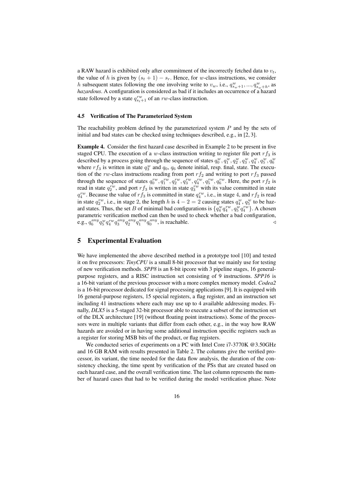a RAW hazard is exhibited only after commitment of the incorrectly fetched data to  $v_t$ , the value of h is given by  $(s_t + 1) - s_r$ . Hence, for w-class instructions, we consider h subsequent states following the one involving write to  $v_w$ , i.e.,  $q_{s_w+1}^w, ..., q_{s_w+h}^w$ , as *hazardous*. A configuration is considered as bad if it includes an occurrence of a hazard state followed by a state  $q_{s_t+1}^{rw}$  of an rw-class instruction.

### 4.5 Verification of The Parameterized System

The reachability problem defined by the parameterized system  $P$  and by the sets of initial and bad states can be checked using techniques described, e.g., in [2, 3].

Example 4. Consider the first hazard case described in Example 2 to be present in five staged CPU. The execution of a w-class instruction writing to register file port  $rf_3$  is described by a process going through the sequence of states  $q_0^w, q_1^w, q_2^w, q_3^w, q_4^w, q_5^w, q_6^w$ where  $rf_3$  is written in state  $q_3^w$  and  $q_0$ ,  $q_6$  denote initial, resp. final, state. The execution of the rw-class instructions reading from port  $rf_2$  and writing to port  $rf_3$  passed through the sequence of states  $q_0^{rw}$ ,  $q_1^{rw}$ ,  $q_2^{rw}$ ,  $q_3^{rw}$ ,  $q_4^{rw}$ ,  $q_5^{rw}$ . Here, the port  $rf_2$  is read in state  $q_2^{rw}$ , and port  $rf_3$  is written in state  $q_3^{rw}$  with its value committed in state  $q_4^{rw}$ . Because the value of  $rf_3$  is committed in state  $q_4^{rw}$ , i.e., in stage 4, and  $rf_2$  is read in state  $q_2^{rw}$ , i.e., in stage 2, the length h is  $4-2=2$  causing states  $q_4^w$ ,  $q_5^w$  to be hazard states. Thus, the set B of minimal bad configurations is  $\{q_4^w q_4^{rw}, q_5^w q_4^{rw}\}$ . A chosen parametric verification method can then be used to check whether a bad configuration, e.g.,  $q_6^{any} q_5^{wy} q_4^{ary} q_3^{any} q_2^{any} q_1^{any} q_0^{any}$ , is reachable.

# 5 Experimental Evaluation

We have implemented the above described method in a prototype tool [10] and tested it on five processors: *TinyCPU* is a small 8-bit processor that we mainly use for testing of new verification methods. *SPP8* is an 8-bit ipcore with 3 pipeline stages, 16 generalpurpose registers, and a RISC instruction set consisting of 9 instructions. *SPP16* is a 16-bit variant of the previous processor with a more complex memory model. *Codea2* is a 16-bit processor dedicated for signal processing applications [9]. It is equipped with 16 general-purpose registers, 15 special registers, a flag register, and an instruction set including 41 instructions where each may use up to 4 available addressing modes. Finally, *DLX5* is a 5-staged 32-bit processor able to execute a subset of the instruction set of the DLX architecture [19] (without floating point instructions). Some of the processors were in multiple variants that differ from each other, e.g., in the way how RAW hazards are avoided or in having some additional instruction specific registers such as a register for storing MSB bits of the product, or flag registers.

We conducted series of experiments on a PC with Intel Core i7-3770K @3.50GHz and 16 GB RAM with results presented in Table 2. The columns give the verified processor, its variant, the time needed for the data flow analysis, the duration of the consistency checking, the time spent by verification of the PSs that are created based on each hazard case, and the overall verification time. The last column represents the number of hazard cases that had to be verified during the model verification phase. Note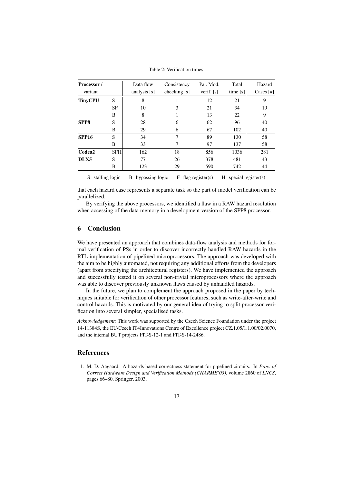Table 2: Verification times.

| Processor /      |            | Data flow      | Consistency  | Par. Mod.  | Total      | Hazard      |
|------------------|------------|----------------|--------------|------------|------------|-------------|
| variant          |            | analysis $[s]$ | checking [s] | verif. [s] | time $[s]$ | Cases $[#]$ |
| <b>TinyCPU</b>   | S          | 8              |              | 12         | 21         | 9           |
|                  | SF         | 10             | 3            | 21         | 34         | 19          |
|                  | B          | 8              |              | 13         | 22         | 9           |
| SPP <sub>8</sub> | S          | 28             | 6            | 62         | 96         | 40          |
|                  | B          | 29             | 6            | 67         | 102        | 40          |
| <b>SPP16</b>     | S          | 34             | 7            | 89         | 130        | 58          |
|                  | B          | 33             | 7            | 97         | 137        | 58          |
| Codea2           | <b>SFH</b> | 162            | 18           | 856        | 1036       | 281         |
| DLX5             | S          | 77             | 26           | 378        | 481        | 43          |
|                  | B          | 123            | 29           | 590        | 742        | 44          |
|                  |            |                |              |            |            |             |

S stalling logic B bypassing logic F flag register(s) H special register(s)

that each hazard case represents a separate task so the part of model verification can be parallelized.

By verifying the above processors, we identified a flaw in a RAW hazard resolution when accessing of the data memory in a development version of the SPP8 processor.

# 6 Conclusion

We have presented an approach that combines data-flow analysis and methods for formal verification of PSs in order to discover incorrectly handled RAW hazards in the RTL implementation of pipelined microprocessors. The approach was developed with the aim to be highly automated, not requiring any additional efforts from the developers (apart from specifying the architectural registers). We have implemented the approach and successfully tested it on several non-trivial microprocessors where the approach was able to discover previously unknown flaws caused by unhandled hazards.

In the future, we plan to complement the approach proposed in the paper by techniques suitable for verification of other processor features, such as write-after-write and control hazards. This is motivated by our general idea of trying to split processor verification into several simpler, specialised tasks.

*Acknowledgement:* This work was supported by the Czech Science Foundation under the project 14-11384S, the EU/Czech IT4Innovations Centre of Excellence project CZ.1.05/1.1.00/02.0070, and the internal BUT projects FIT-S-12-1 and FIT-S-14-2486.

# References

1. M. D. Aagaard. A hazards-based correctness statement for pipelined circuits. In *Proc. of Correct Hardware Design and Verification Methods (CHARME'03)*, volume 2860 of *LNCS*, pages 66–80. Springer, 2003.